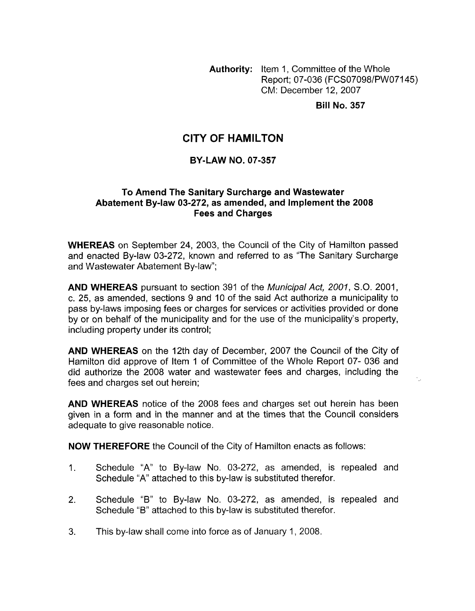**Authority:** Item 1, Committee of the Whole Report; 07-036 (FCS07098/PWO7145) CM: December 12,2007

**Bill No. 357** 

# **CITY OF HAMILTON**

### **BY-LAW NO. 07-357**

### **To Amend The Sanitary Surcharge and Wastewater Abatement By-law 03-272, as amended, and Implement the 2008 Fees and Charges**

**WHEREAS** on September 24, 2003, the Council of the City of Hamilton passed and enacted By-law 03-272, known and referred to as "The Sanitary Surcharge and Wastewater Abatement By-law";

**AND WHEREAS** pursuant to section 391 of the *Municipal Act, 2001,* S.O. 2001, c. 25, as amended, sections 9 and 10 of the said Act authorize a municipality to pass by-laws imposing fees or charges for services or activities provided or done by or on behalf of the municipality and for the use of the municipality's property, including property under its control;

**AND WHEREAS** on the 12th day of December, 2007 the Council of the City of Hamilton did approve of Item 1 of Committee of the Whole Report 07- 036 and did authorize the 2008 water and wastewater fees and charges, including the fees and charges set out herein;

**AND WHEREAS** notice of the 2008 fees and charges set out herein has been given in a form and in the manner and at the times that the Council considers adequate to give reasonable notice.

**NOW THEREFORE** the Council of the City of Hamilton enacts as follows:

- 1. Schedule "A" to By-law No. 03-272, as amended, is repealed and Schedule "A" attached to this by-law is substituted therefor.
- 2. Schedule "B" to By-law No. 03-272, as amended, is repealed and Schedule "B" attached to this by-law is substituted therefor.
- 3. This by-law shall come into force as of January 1, 2008.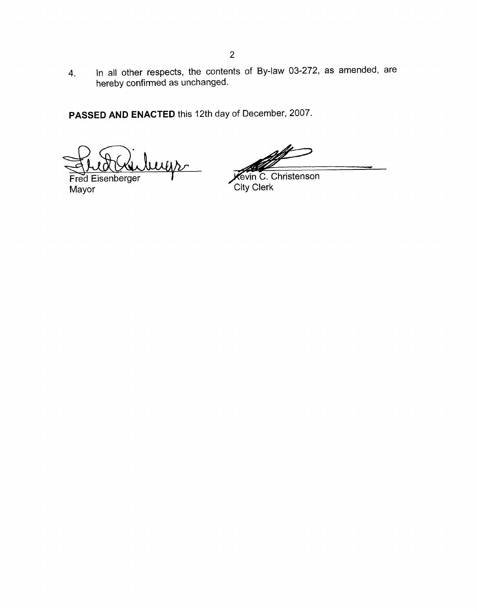4. In all other respects, the contents of By-law 03-272, as amended, are hereby confirmed as unchanged.

**PASSED AND ENACTED** this 12th day of December, 2007.

ugs

**Fred Eisenberger**<br>Mayor

**Wevin C. Christenson**<br>City Clerk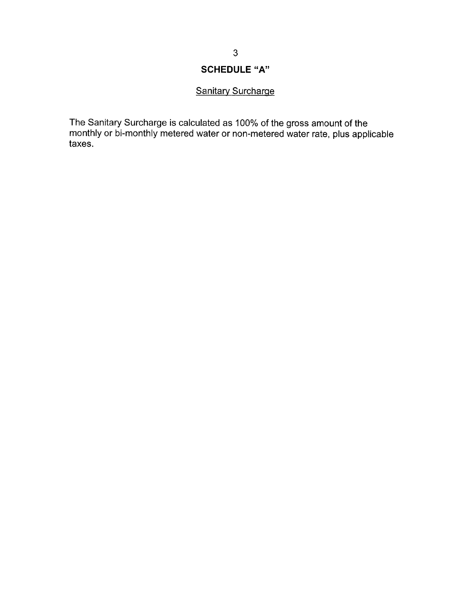## **SCHEDULE "A"**

## Sanitary Surcharge

The Sanitary Surcharge is calculated as 100% of the gross amount of the monthly or bi-monthly metered water or non-metered water rate, plus applicable taxes.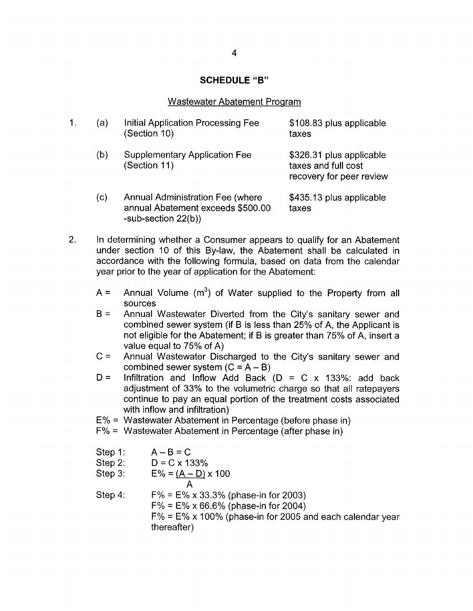#### **SCHEDULE "B"**

#### Wastewater Abatement Proqram

| (a) | Initial Application Processing Fee<br>(Section 10)                                                     | \$108.83 plus applicable<br>taxes                                           |
|-----|--------------------------------------------------------------------------------------------------------|-----------------------------------------------------------------------------|
| (b) | <b>Supplementary Application Fee</b><br>(Section 11)                                                   | \$326.31 plus applicable<br>taxes and full cost<br>recovery for peer review |
| (c) | <b>Annual Administration Fee (where</b><br>annual Abatement exceeds \$500.00<br>-sub-section $22(b)$ ) | \$435.13 plus applicable<br>taxes                                           |

2. In determining whether a Consumer appears to qualify for an Abatement under section 10 of this By-law, the Abatement shall be calculated in accordance with the following formula, based on data from the calendar year prior to the year of application for the Abatement:

- $A =$ Annual Volume  $(m^3)$  of Water supplied to the Property from all sources
- $B =$ Annual Wastewater Diverted from the City's sanitary sewer and combined sewer system (if B is less than 25% of A, the Applicant is not eligible for the Abatement; if B is greater than 75% of A, insert a value equal to 75% of A)
- $C =$ Annual Wastewater Discharged to the City's sanitary sewer and combined sewer system  $(C = A - B)$
- $D =$ Infiltration and Inflow Add Back ( $D = C \times 133\%$ : add back adjustment of 33% to the volumetric charge so that all ratepayers continue to pay an equal portion of the treatment costs associated with inflow and infiltration)
- E% = Wastewater Abatement in Percentage (before phase in)
- F% = Wastewater Abatement in Percentage (after phase in)

| Step 1:                                                                           | $A - B = C$                                   |
|-----------------------------------------------------------------------------------|-----------------------------------------------|
| Step 2:                                                                           | $D = C \times 133\%$                          |
| Step 3:                                                                           | $E\% = (A - D) \times 100$                    |
| Step 4:                                                                           | $F\% = E\% \times 33.3\%$ (phase-in for 2003) |
| $F\% = E\% \times 66.6\%$ (phase-in for 2004)                                     |                                               |
| $F\% = E\% \times 100\%$ (phase-in for 2005 and each calendar year<br>thereafter) |                                               |